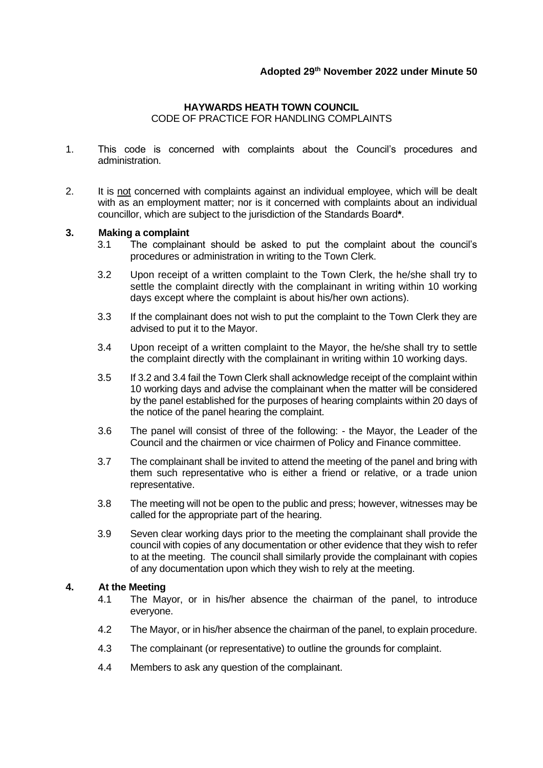# **HAYWARDS HEATH TOWN COUNCIL**

CODE OF PRACTICE FOR HANDLING COMPLAINTS

- 1. This code is concerned with complaints about the Council's procedures and administration.
- 2. It is not concerned with complaints against an individual employee, which will be dealt with as an employment matter; nor is it concerned with complaints about an individual councillor, which are subject to the jurisdiction of the Standards Board**\***.

### **3. Making a complaint**

- 3.1 The complainant should be asked to put the complaint about the council's procedures or administration in writing to the Town Clerk.
- 3.2 Upon receipt of a written complaint to the Town Clerk, the he/she shall try to settle the complaint directly with the complainant in writing within 10 working days except where the complaint is about his/her own actions).
- 3.3 If the complainant does not wish to put the complaint to the Town Clerk they are advised to put it to the Mayor.
- 3.4 Upon receipt of a written complaint to the Mayor, the he/she shall try to settle the complaint directly with the complainant in writing within 10 working days.
- 3.5 If 3.2 and 3.4 fail the Town Clerk shall acknowledge receipt of the complaint within 10 working days and advise the complainant when the matter will be considered by the panel established for the purposes of hearing complaints within 20 days of the notice of the panel hearing the complaint.
- 3.6 The panel will consist of three of the following: the Mayor, the Leader of the Council and the chairmen or vice chairmen of Policy and Finance committee.
- 3.7 The complainant shall be invited to attend the meeting of the panel and bring with them such representative who is either a friend or relative, or a trade union representative.
- 3.8 The meeting will not be open to the public and press; however, witnesses may be called for the appropriate part of the hearing.
- 3.9 Seven clear working days prior to the meeting the complainant shall provide the council with copies of any documentation or other evidence that they wish to refer to at the meeting. The council shall similarly provide the complainant with copies of any documentation upon which they wish to rely at the meeting.

#### **4. At the Meeting**

- 4.1 The Mayor, or in his/her absence the chairman of the panel, to introduce everyone.
- 4.2 The Mayor, or in his/her absence the chairman of the panel, to explain procedure.
- 4.3 The complainant (or representative) to outline the grounds for complaint.
- 4.4 Members to ask any question of the complainant.